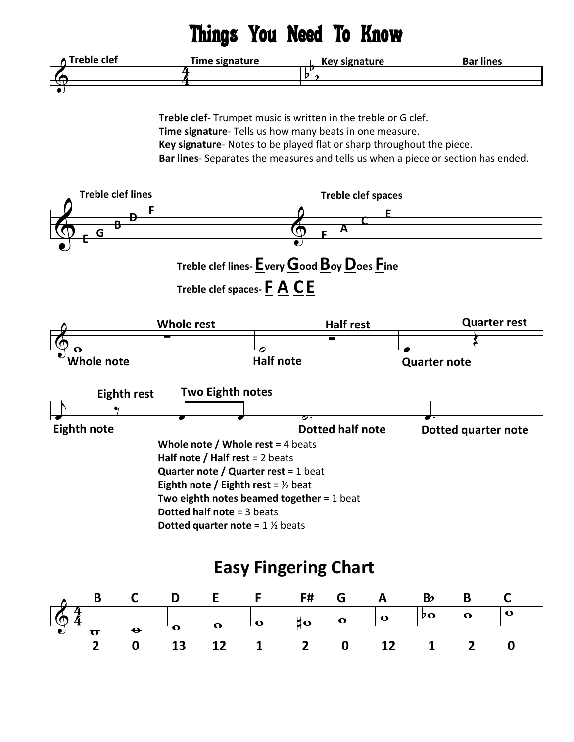## Things You Need To Know



Treble clef- Trumpet music is written in the treble or G clef. Time signature- Tells us how many beats in one measure. Key signature- Notes to be played flat or sharp throughout the piece. Bar lines- Separates the measures and tells us when a piece or section has ended.